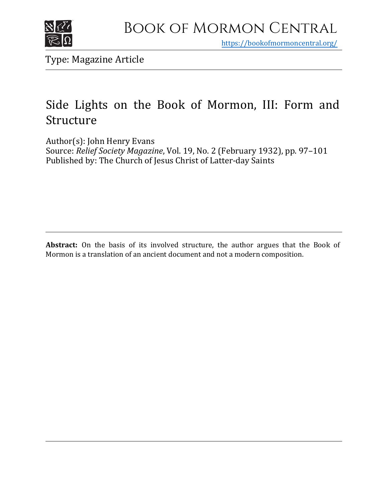

https[://bookofmormoncentral.org/](http://bookofmormoncentral.org/)

Type: Magazine Article

# Side Lights on the Book of Mormon, III: Form and Structure

Author(s): John Henry Evans Source: *Relief Society Magazine*, Vol. 19, No. 2 (February 1932), pp. 97–101 Published by: The Church of Jesus Christ of Latter-day Saints

**Abstract:** On the basis of its involved structure, the author argues that the Book of Mormon is a translation of an ancient document and not a modern composition.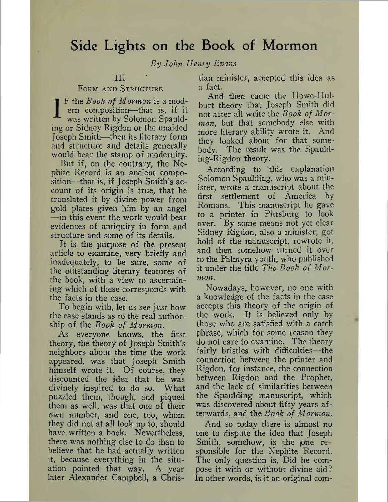### Side Lights on the Book of Mormon

*By John Henry Evans*

### III

#### Form and Structure

FORM AND STRUCTURE<br>
IF the *Book of Mormon* is a modern composition—that is, if it<br>
was written by Solomon Spauld-<br>
ing or Sidney Rigdon or the unaided F the *Book of Mormon* is a modern composition—that is, if it was written by Solomon Spauld-Joseph Smith—then its literary form and structure and details generally would bear the stamp of modernity.

But if, on the contrary, the Nephite Record is an ancient composition—that is, if Joseph Smith's account of its origin is true, that he translated it by divine power from gold plates given him by an angel —in this event the work would bear evidences of antiquity in form and structure and some of its details.

It is the purpose of the present article to examine, very briefly and inadequately, to be sure, some of the outstanding literary features of the book, with a view to ascertaining which of these corresponds with the facts in the case.

To begin with, let us see just how the case stands as to the real authorship of the *Book of Mormon.*

As everyone knows, the first theory, the theory of Joseph Smith's neighbors about the time the work appeared, was that Joseph Smith himself wrote it. Of course, they discounted the 'idea that he was divinely inspired to do so. What puzzled them, though, and piqued them as well, was that one of their own number, and one, too, whom they did not at all look up to, should have written a book. Nevertheless, there was nothing else to do than to believe that he had actually written it, because everything in the situation pointed that way. A year later Alexander Campbell, a Chris-

tian minister, accepted this idea as a fact.

And then came the Howe-Hulburt theory that Joseph Smith did not after all write the *Book of Mormon,* but that somebody else with more literary ability wrote it. And they looked about for that somebody. The result was the Spaulding-Rigdon theory.

According to this explanation Solomon Spaulding, who was a minister, wrote a manuscript about the first settlement of America by Romans. This manuscript he gave to a printer in Pittsburg to look over. By some means not yet clear Sidney Rigdon, also a minister, got hold of the manuscript, rewrote it, and then somehow turned it over to the Palmyra youth, who published it under the title *The Book of Mormon.*

Nowadays, however, no one with a knowledge of the facts in the case accepts this theory of the origin of the work. It is believed only by those who are satisfied with a catch phrase, which for some reason they do not care to examine. The theory fairly bristles with difficulties—the connection between the printer and Rigdon, for instance, the connection between Rigdon and the Prophet, and the lack of similarities between the Spaulding manuscript, which was discovered about fifty years afterwards, and the *Book of Mormon.*

And so today there is almost no one to dispute the idea that Joseph Smith, somehow, is the  $\rho$  one responsible for the Nephite Record. The only question is, Did he compose it with or without divine aid? In other words, is it an original com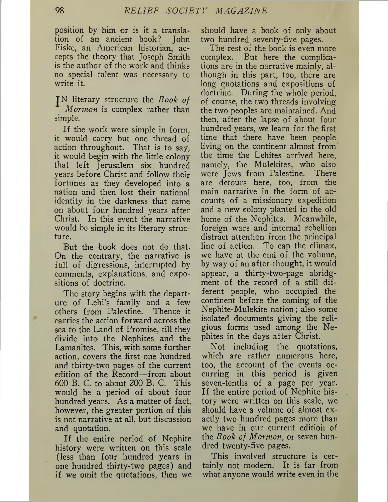position by him or is it a translation of an ancient book? John Fiske, an American historian, accepts the theory that Joseph Smith is the author of the work and thinks no special talent was necessary to write it.

ITliterary structure the *Book of Mormon* is complex rather than simple.

If the work were simple in form, it would carry but one thread of action throughout. That is to say, it would begin with the little colony that left Jerusalem six hundred years before Christ and follow their fortunes as they developed into a nation and then lost their national identity in the darkness that came on about four hundred years after Christ. In this event the narrative would be simple in its literary structure.

But the book does not do that. On the contrary, the narrative is full of digressions, interrupted by comments, explanations, and expositions of doctrine.

The story begins with the departure of Lehi's family and a few others from Palestine. Thence it carries the action forward across the sea to the Land of Promise, till they divide into the Nephites and the Lamanites. This, with some further action, covers the first one hundred and thirty-two pages of the current edition of the Record—from about 600 B. C. to about 200 B. C. This would be a period of about four hundred years. As a matter of fact, however, the greater portion of this is not narrative at all, but discussion and quotation.

If the entire period of Nephite history were written on this scale (less than four hundred years in one hundred thirty-two pages) and if we omit the quotations, then we should have a book of only about two hundred seventy-five pages.

The rest of the book is even more complex. But here the complications are in the narrative mainly, although in this part, too, there are long quotations and expositions of doctrine. During the whole period, of course, the two threads involving the two peoples are maintained. And then, after the lapse of about four hundred years, we learn for the first time that there have been people living on the continent almost from the time the Lehites arrived here, namely, the Mulekites, who also were Jews from Palestine. There are detours here, too, from the main narrative in the form of accounts of a missionary expedition and a new colony planted in the old home of the Nephites. Meanwhile, foreign wars and internal rebellion distract attention from the principal line of action. To cap the climax, we have at the end of the volume, by way of an after-thought, it would appear, a thirty-two-page abridgment of the record of a still different people, who occupied the continent before the coming of the Nephite-Mulekite nation; also some isolated documents giving the religious forms used among the Nephites in the days after Christ.

Not including the quotations, which are rather numerous here, too, the account of the events occurring in this period is given seven-tenths of a page per year. If the entire period of Nephite history were written on this scale, we should have a volume of almost exactly two hundred pages more than we have in our current edition of the *Book of Mormon,* or seven hundred twenty-five pages.

This involved structure is certainly not modern. It is far from what anyone would write even in the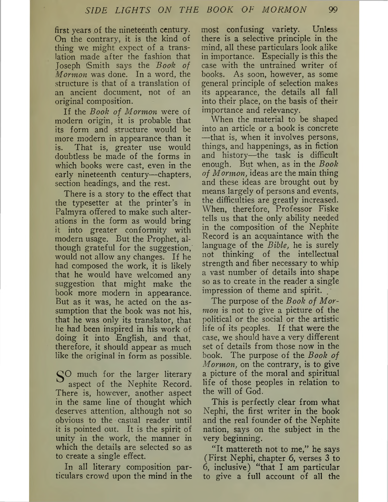first years of the nineteenth century. On the contrary, it is the kind of thing we might expect of a translation made after the fashion that Joseph iSmith says the *Bool? of Mormon* was done. In a word, the structure is that of a translation of an ancient document, not of an original composition.

If the *Book of Mormon* were of modern origin, it is probable that its form and structure would be more modern in appearance than it is. That is, greater use would doubtless be made of the forms in which books were cast, even in the early nineteenth century—chapters, section headings, and the rest.

There is a story to the effect that the typesetter at the printer's in Palmyra offered to make such alterations in the form as would bring it into greater conformity with modern usage. But the Prophet, although grateful for the suggestion, would not allow any changes. If he had composed the work, it is likely that he would have welcomed any suggestion that might make the book more modern in appearance. But as it was, he acted on the assumption that the book was not his, that he was only its translator, that he had been inspired in his work of doing it into English, and that, therefore, it should appear as much like the original in form as possible.

S<sup>O</sup> much for the larger literary aspect of the Nephite Record. There is, however, another aspect in the same line of thought which deserves attention, although not so obvious to the casual reader until it is pointed out. It is the spirit of unity in the work, the manner in which the details are selected so as to create a single effect.

In all literary composition particulars crowd upon the mind in the

most confusing variety. Unless there is a selective principle in the mind, all these particulars look alike in importance. Especially is this the case with the untrained writer of books. As soon, however, as some general principle of selection makes its appearance, the details all fall into their place, on the basis of their importance and relevancy.

When the material to be shaped into an article or a book is concrete —that is, when it involves persons, things, and happenings, as in fiction and history—the task is difficult enough. But when, as in the *Book of Mormon,* ideas are the main thing and these ideas are brought out by means largely of persons and events, the difficulties are greatly increased. When, therefore, Professor Fiske tells us that the only ability needed in the composition of the Nephite Record is an acquaintance with the language of the *Bible,* he is surely not thinking of the intellectual strength and fiber necessary to whip a vast number of details into shape so as to create in the reader a single impression of theme and spirit.

The purpose of the *Book of Mormon* is not to give a picture of the political or the social or the artistic life of its peoples. If that were the case, we should have a very different set of details from those now in the book. The purpose of the *Book of Mormon,* on the contrary, is to give a picture of the moral and spiritual life of those peoples in relation to the will of God.

This is perfectly clear from what Nephi, the first writer in the book and the real founder of the Nephite nation, says on the subject in the very beginning.

"It mattereth not to me," he says (First Nephi, chapter 6, verses 3 to 6, inclusive) "that I am particular to give a full account of all the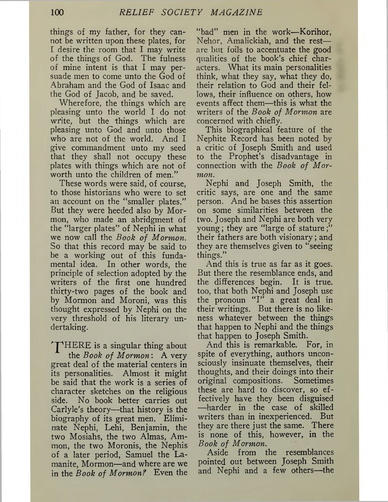things of my father, for they cannot be written upon these plates, for I desire the room that I may write of the things of God. The fulness of mine intent is that I may persuade men to come unto the God of Abraham and the God of Isaac and the God of Jacob, and be saved.

Wherefore, the things which are pleasing unto the world I do not write, but the things which are pleasing unto God and unto those who are not of the world. And I give commandment unto my seed that they shall not occupy these plates with things which are not of worth unto the children of men."

These words were said, of course, to those historians who were to set an account on the "smaller plates." But they were heeded also by Mormon, who made an abridgment of the "larger plates" of Nephi in what we now call the *Book of Mormon.* So that this record may be said to be a working out of this fundamental idea. In other words, the principle of selection adopted by the writers of the first one hundred thirty-two pages of the book and by Mormon and Moroni, was this thought expressed by Nephi on the very threshold of his literary undertaking.

THERE is a singular thing about the *Book of Mormon:* A very great deal of the material centers in its personalities. Almost it might be said that the work is a series of character sketches on the religious side. No book better carries out Carlyle's theory—that history is the biography of its great men. Eliminate Nephi, Lehi, Benjamin, the two Mosiahs, the two Almas, Ammon, the two Moronis, the Nephis of a later period, Samuel the Lamanite, Mormon—and where are we in the *Book of Mormon?* Even the

"bad" men in the work—Korihor, Nehor, Amalickiah, and the rest are but foils to accentuate the good qualities of the book's chief characters. What its main personalities think, what they say, what they do, their relation to God and their fellows, their influence on others, how events affect them—this is what the writers of the *Book of Mormon* are concerned with chiefly.

This biographical feature of the Nephite Record has been noted by a critic of Joseph Smith and used to the Prophet's disadvantage in connection with the *Book of Mormon.*

Nephi and Joseph Smith, the critic says, are one and the same person. And he bases this assertion on some similarities between the two. Joseph and Nephi are both very young; they are "large of stature their fathers are both visionary; and they are themselves given to "seeing things."

And this is true as far as it goes. But there the resemblance ends, and the differences begin. It is true, too, that both Nephi and Joseph use the pronoun "I" <sup>a</sup> great deal in their writings. But there is no likeness whatever between the things that happen to Nephi and the things that happen to Joseph Smith.

And this is remarkable. For, in spite of everything, authors unconsciously insinuate themselves, their thoughts, and their doings into their original compositions. Sometimes these are hard to discover, so effectively have they been disguised —harder in the case of skilled writers than in inexperienced. But they are there just the same. There is none of this, however, in the *Book of Mormon.*

Aside from the resemblances pointed out between Joseph Smith and Nephi and a few others—the